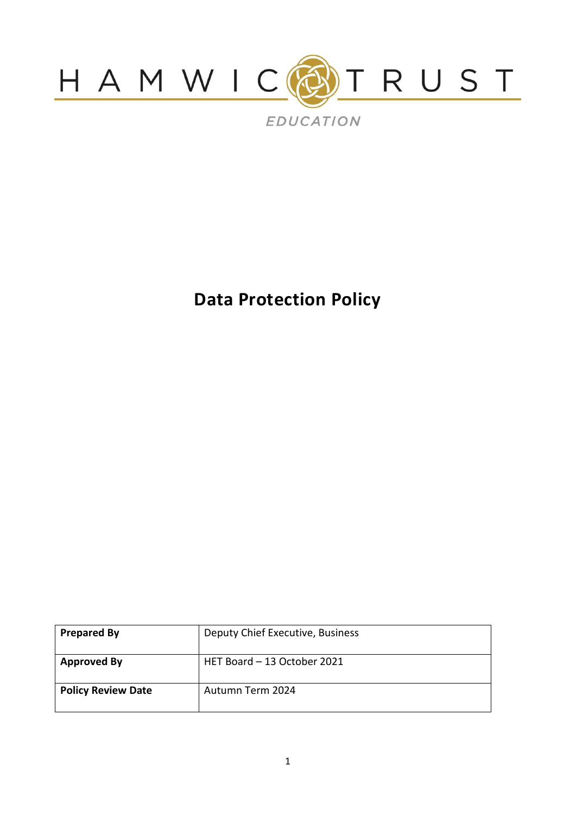

**Data Protection Policy**

| <b>Prepared By</b>        | Deputy Chief Executive, Business |
|---------------------------|----------------------------------|
| <b>Approved By</b>        | HET Board - 13 October 2021      |
| <b>Policy Review Date</b> | Autumn Term 2024                 |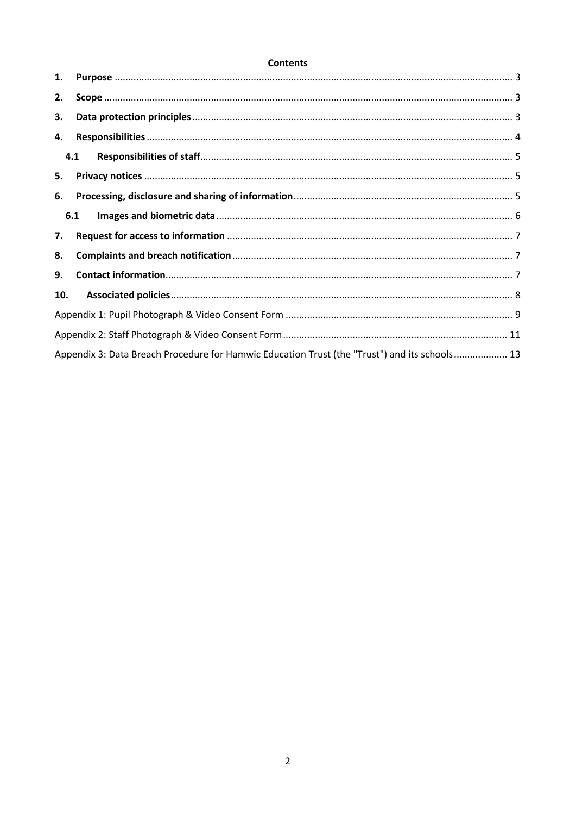### **Contents**

| 1.  |                                                                                               |  |
|-----|-----------------------------------------------------------------------------------------------|--|
| 2.  |                                                                                               |  |
| 3.  |                                                                                               |  |
| 4.  |                                                                                               |  |
| 4.1 |                                                                                               |  |
| 5.  |                                                                                               |  |
| 6.  |                                                                                               |  |
| 6.1 |                                                                                               |  |
| 7.  |                                                                                               |  |
| 8.  |                                                                                               |  |
| 9.  |                                                                                               |  |
| 10. |                                                                                               |  |
|     |                                                                                               |  |
|     |                                                                                               |  |
|     | Appendix 3: Data Breach Procedure for Hamwic Education Trust (the "Trust") and its schools 13 |  |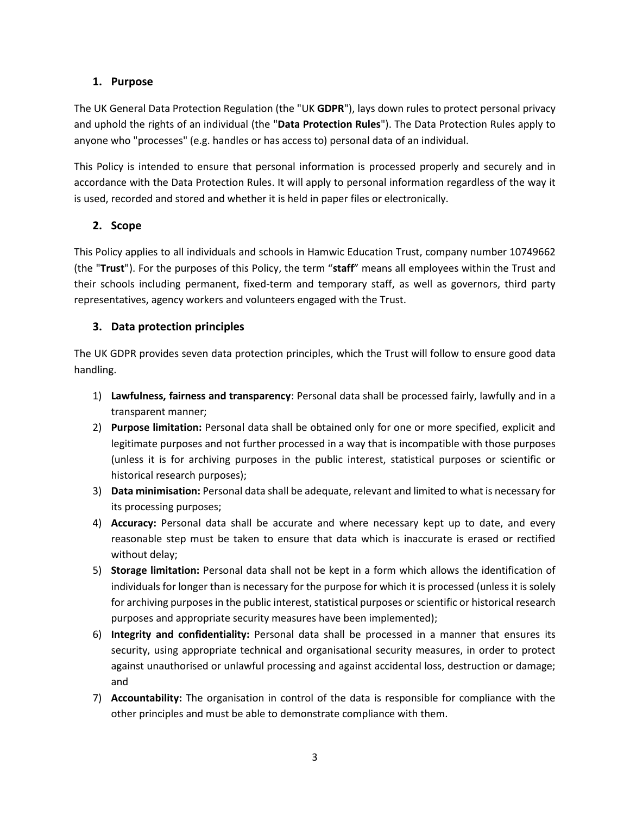## **1. Purpose**

<span id="page-2-0"></span>The UK General Data Protection Regulation (the "UK **GDPR**"), lays down rules to protect personal privacy and uphold the rights of an individual (the "**Data Protection Rules**"). The Data Protection Rules apply to anyone who "processes" (e.g. handles or has access to) personal data of an individual.

This Policy is intended to ensure that personal information is processed properly and securely and in accordance with the Data Protection Rules. It will apply to personal information regardless of the way it is used, recorded and stored and whether it is held in paper files or electronically.

# **2. Scope**

<span id="page-2-1"></span>This Policy applies to all individuals and schools in Hamwic Education Trust, company number 10749662 (the "**Trust**"). For the purposes of this Policy, the term "**staff**" means all employees within the Trust and their schools including permanent, fixed-term and temporary staff, as well as governors, third party representatives, agency workers and volunteers engaged with the Trust.

# **3. Data protection principles**

<span id="page-2-2"></span>The UK GDPR provides seven data protection principles, which the Trust will follow to ensure good data handling.

- 1) **Lawfulness, fairness and transparency**: Personal data shall be processed fairly, lawfully and in a transparent manner;
- 2) **Purpose limitation:** Personal data shall be obtained only for one or more specified, explicit and legitimate purposes and not further processed in a way that is incompatible with those purposes (unless it is for archiving purposes in the public interest, statistical purposes or scientific or historical research purposes);
- 3) **Data minimisation:** Personal data shall be adequate, relevant and limited to what is necessary for its processing purposes;
- 4) **Accuracy:** Personal data shall be accurate and where necessary kept up to date, and every reasonable step must be taken to ensure that data which is inaccurate is erased or rectified without delay;
- 5) **Storage limitation:** Personal data shall not be kept in a form which allows the identification of individuals for longer than is necessary for the purpose for which it is processed (unless it is solely for archiving purposes in the public interest, statistical purposes or scientific or historical research purposes and appropriate security measures have been implemented);
- 6) **Integrity and confidentiality:** Personal data shall be processed in a manner that ensures its security, using appropriate technical and organisational security measures, in order to protect against unauthorised or unlawful processing and against accidental loss, destruction or damage; and
- 7) **Accountability:** The organisation in control of the data is responsible for compliance with the other principles and must be able to demonstrate compliance with them.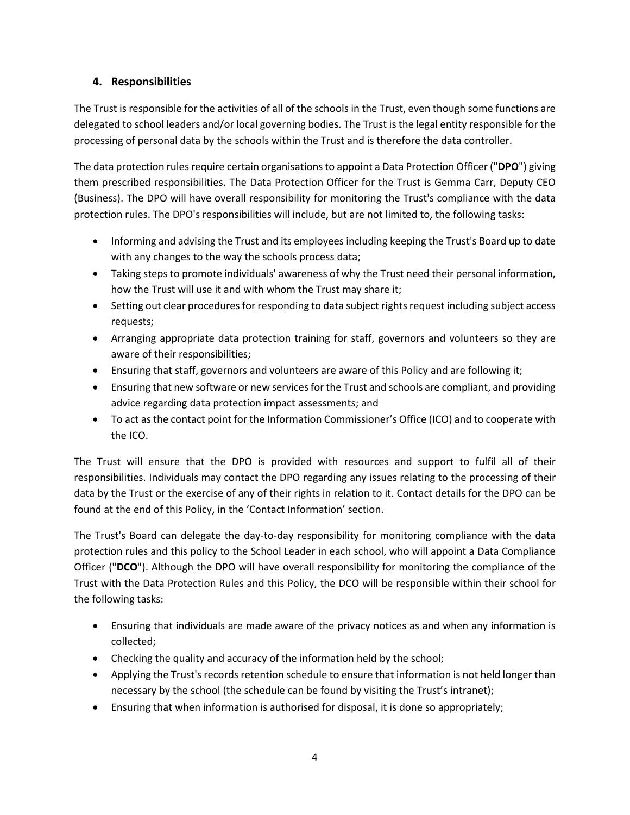# **4. Responsibilities**

<span id="page-3-0"></span>The Trust is responsible for the activities of all of the schools in the Trust, even though some functions are delegated to school leaders and/or local governing bodies. The Trust is the legal entity responsible for the processing of personal data by the schools within the Trust and is therefore the data controller.

The data protection rules require certain organisations to appoint a Data Protection Officer ("**DPO**") giving them prescribed responsibilities. The Data Protection Officer for the Trust is Gemma Carr, Deputy CEO (Business). The DPO will have overall responsibility for monitoring the Trust's compliance with the data protection rules. The DPO's responsibilities will include, but are not limited to, the following tasks:

- Informing and advising the Trust and its employees including keeping the Trust's Board up to date with any changes to the way the schools process data;
- Taking steps to promote individuals' awareness of why the Trust need their personal information, how the Trust will use it and with whom the Trust may share it;
- Setting out clear procedures for responding to data subject rights request including subject access requests;
- Arranging appropriate data protection training for staff, governors and volunteers so they are aware of their responsibilities;
- Ensuring that staff, governors and volunteers are aware of this Policy and are following it;
- Ensuring that new software or new services for the Trust and schools are compliant, and providing advice regarding data protection impact assessments; and
- To act as the contact point for the Information Commissioner's Office (ICO) and to cooperate with the ICO.

The Trust will ensure that the DPO is provided with resources and support to fulfil all of their responsibilities. Individuals may contact the DPO regarding any issues relating to the processing of their data by the Trust or the exercise of any of their rights in relation to it. Contact details for the DPO can be found at the end of this Policy, in the 'Contact Information' section.

The Trust's Board can delegate the day-to-day responsibility for monitoring compliance with the data protection rules and this policy to the School Leader in each school, who will appoint a Data Compliance Officer ("**DCO**"). Although the DPO will have overall responsibility for monitoring the compliance of the Trust with the Data Protection Rules and this Policy, the DCO will be responsible within their school for the following tasks:

- Ensuring that individuals are made aware of the privacy notices as and when any information is collected;
- Checking the quality and accuracy of the information held by the school;
- Applying the Trust's records retention schedule to ensure that information is not held longer than necessary by the school (the schedule can be found by visiting the Trust's intranet);
- Ensuring that when information is authorised for disposal, it is done so appropriately;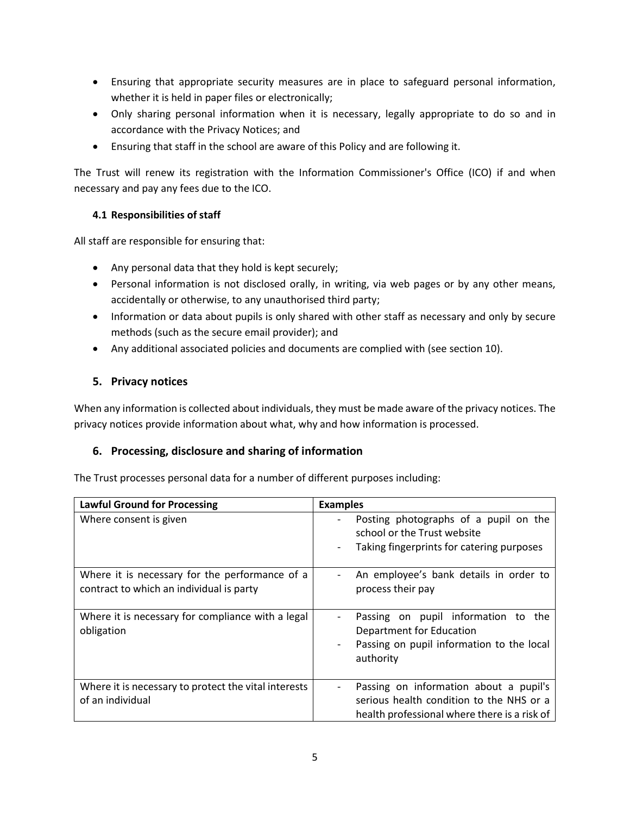- Ensuring that appropriate security measures are in place to safeguard personal information, whether it is held in paper files or electronically;
- Only sharing personal information when it is necessary, legally appropriate to do so and in accordance with the Privacy Notices; and
- Ensuring that staff in the school are aware of this Policy and are following it.

The Trust will renew its registration with the Information Commissioner's Office (ICO) if and when necessary and pay any fees due to the ICO.

## **4.1 Responsibilities of staff**

All staff are responsible for ensuring that:

- <span id="page-4-0"></span>Any personal data that they hold is kept securely;
- Personal information is not disclosed orally, in writing, via web pages or by any other means, accidentally or otherwise, to any unauthorised third party;
- Information or data about pupils is only shared with other staff as necessary and only by secure methods (such as the secure email provider); and
- Any additional associated policies and documents are complied with (see sectio[n 10\)](#page-7-1).

# **5. Privacy notices**

<span id="page-4-1"></span>When any information is collected about individuals, they must be made aware of the privacy notices. The privacy notices provide information about what, why and how information is processed.

# **6. Processing, disclosure and sharing of information**

The Trust processes personal data for a number of different purposes including:

<span id="page-4-2"></span>

| <b>Lawful Ground for Processing</b>                                                        | <b>Examples</b>                                                                                                                    |  |  |
|--------------------------------------------------------------------------------------------|------------------------------------------------------------------------------------------------------------------------------------|--|--|
| Where consent is given                                                                     | Posting photographs of a pupil on the<br>school or the Trust website<br>Taking fingerprints for catering purposes                  |  |  |
| Where it is necessary for the performance of a<br>contract to which an individual is party | An employee's bank details in order to<br>process their pay                                                                        |  |  |
| Where it is necessary for compliance with a legal<br>obligation                            | Passing on pupil information to the<br>Department for Education<br>Passing on pupil information to the local<br>authority          |  |  |
| Where it is necessary to protect the vital interests<br>of an individual                   | Passing on information about a pupil's<br>serious health condition to the NHS or a<br>health professional where there is a risk of |  |  |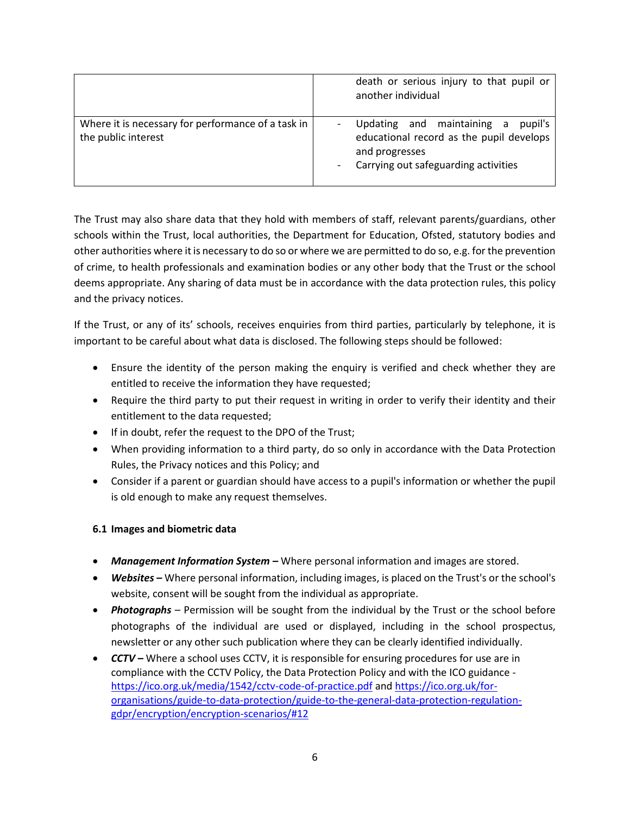|                                                                           | death or serious injury to that pupil or<br>another individual                                                                              |
|---------------------------------------------------------------------------|---------------------------------------------------------------------------------------------------------------------------------------------|
| Where it is necessary for performance of a task in<br>the public interest | Updating and maintaining a<br>pupil's<br>educational record as the pupil develops<br>and progresses<br>Carrying out safeguarding activities |

The Trust may also share data that they hold with members of staff, relevant parents/guardians, other schools within the Trust, local authorities, the Department for Education, Ofsted, statutory bodies and other authorities where it is necessary to do so or where we are permitted to do so, e.g. for the prevention of crime, to health professionals and examination bodies or any other body that the Trust or the school deems appropriate. Any sharing of data must be in accordance with the data protection rules, this policy and the privacy notices.

If the Trust, or any of its' schools, receives enquiries from third parties, particularly by telephone, it is important to be careful about what data is disclosed. The following steps should be followed:

- Ensure the identity of the person making the enquiry is verified and check whether they are entitled to receive the information they have requested;
- Require the third party to put their request in writing in order to verify their identity and their entitlement to the data requested;
- If in doubt, refer the request to the DPO of the Trust;
- When providing information to a third party, do so only in accordance with the Data Protection Rules, the Privacy notices and this Policy; and
- Consider if a parent or guardian should have access to a pupil's information or whether the pupil is old enough to make any request themselves.

## **6.1 Images and biometric data**

- *Management Information System –* Where personal information and images are stored.
- <span id="page-5-0"></span> *Websites –* Where personal information, including images, is placed on the Trust's or the school's website, consent will be sought from the individual as appropriate.
- *Photographs* Permission will be sought from the individual by the Trust or the school before photographs of the individual are used or displayed, including in the school prospectus, newsletter or any other such publication where they can be clearly identified individually.
- **CCTV** Where a school uses CCTV, it is responsible for ensuring procedures for use are in compliance with the CCTV Policy, the Data Protection Policy and with the ICO guidance <https://ico.org.uk/media/1542/cctv-code-of-practice.pdf> and [https://ico.org.uk/for](https://ico.org.uk/for-organisations/guide-to-data-protection/guide-to-the-general-data-protection-regulation-gdpr/encryption/encryption-scenarios/#12)[organisations/guide-to-data-protection/guide-to-the-general-data-protection-regulation](https://ico.org.uk/for-organisations/guide-to-data-protection/guide-to-the-general-data-protection-regulation-gdpr/encryption/encryption-scenarios/#12)[gdpr/encryption/encryption-scenarios/#12](https://ico.org.uk/for-organisations/guide-to-data-protection/guide-to-the-general-data-protection-regulation-gdpr/encryption/encryption-scenarios/#12)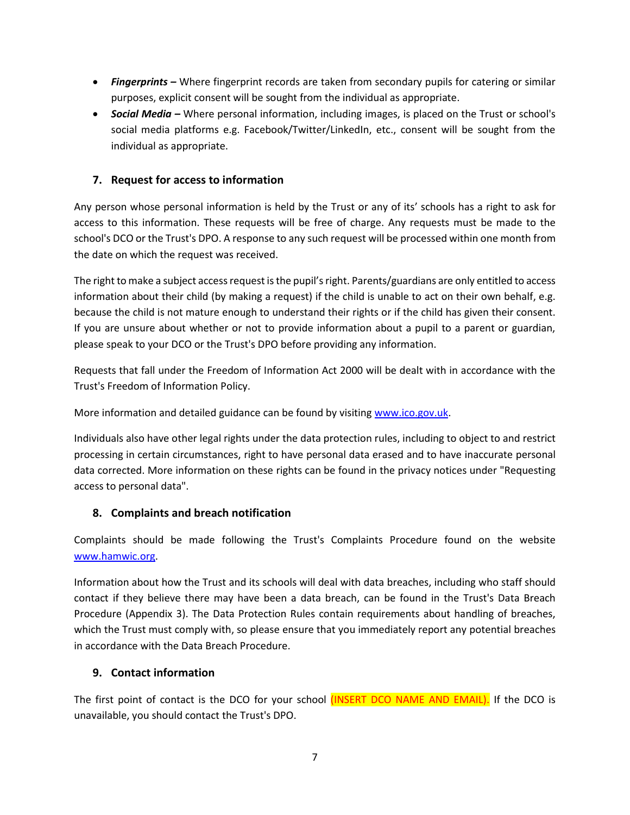- *Fingerprints –* Where fingerprint records are taken from secondary pupils for catering or similar purposes, explicit consent will be sought from the individual as appropriate.
- *Social Media –* Where personal information, including images, is placed on the Trust or school's social media platforms e.g. Facebook/Twitter/LinkedIn, etc., consent will be sought from the individual as appropriate.

# **7. Request for access to information**

<span id="page-6-0"></span>Any person whose personal information is held by the Trust or any of its' schools has a right to ask for access to this information. These requests will be free of charge. Any requests must be made to the school's DCO or the Trust's DPO. A response to any such request will be processed within one month from the date on which the request was received.

The right to make a subject access request is the pupil's right. Parents/guardians are only entitled to access information about their child (by making a request) if the child is unable to act on their own behalf, e.g. because the child is not mature enough to understand their rights or if the child has given their consent. If you are unsure about whether or not to provide information about a pupil to a parent or guardian, please speak to your DCO or the Trust's DPO before providing any information.

Requests that fall under the Freedom of Information Act 2000 will be dealt with in accordance with the Trust's Freedom of Information Policy.

More information and detailed guidance can be found by visiting [www.ico.gov.uk.](http://www.ico.gov.uk/)

Individuals also have other legal rights under the data protection rules, including to object to and restrict processing in certain circumstances, right to have personal data erased and to have inaccurate personal data corrected. More information on these rights can be found in the privacy notices under "Requesting access to personal data".

## **8. Complaints and breach notification**

Complaints should be made following the Trust's Complaints Procedure found on the website [www.hamwic.org.](http://www.hamwic.org/)

<span id="page-6-1"></span>Information about how the Trust and its schools will deal with data breaches, including who staff should contact if they believe there may have been a data breach, can be found in the Trust's Data Breach Procedure (Appendix 3). The Data Protection Rules contain requirements about handling of breaches, which the Trust must comply with, so please ensure that you immediately report any potential breaches in accordance with the Data Breach Procedure.

## **9. Contact information**

<span id="page-6-2"></span>The first point of contact is the DCO for your school (INSERT DCO NAME AND EMAIL). If the DCO is unavailable, you should contact the Trust's DPO.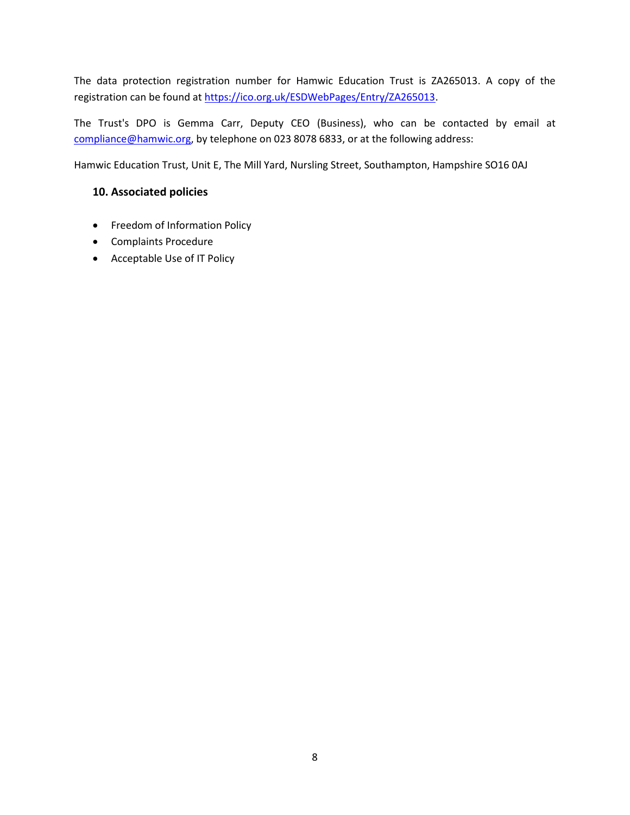The data protection registration number for Hamwic Education Trust is ZA265013. A copy of the registration can be found a[t https://ico.org.uk/ESDWebPages/Entry/ZA265013.](https://ico.org.uk/ESDWebPages/Entry/ZA265013)

The Trust's DPO is Gemma Carr, Deputy CEO (Business), who can be contacted by email at compliance@hamwic.org, by telephone on 023 8078 6833, or at the following address:

Hamwic Education Trust, Unit E, The Mill Yard, Nursling Street, Southampton, Hampshire SO16 0AJ

## <span id="page-7-1"></span>**10. Associated policies**

- Freedom of Information Policy
- <span id="page-7-0"></span>Complaints Procedure
- Acceptable Use of IT Policy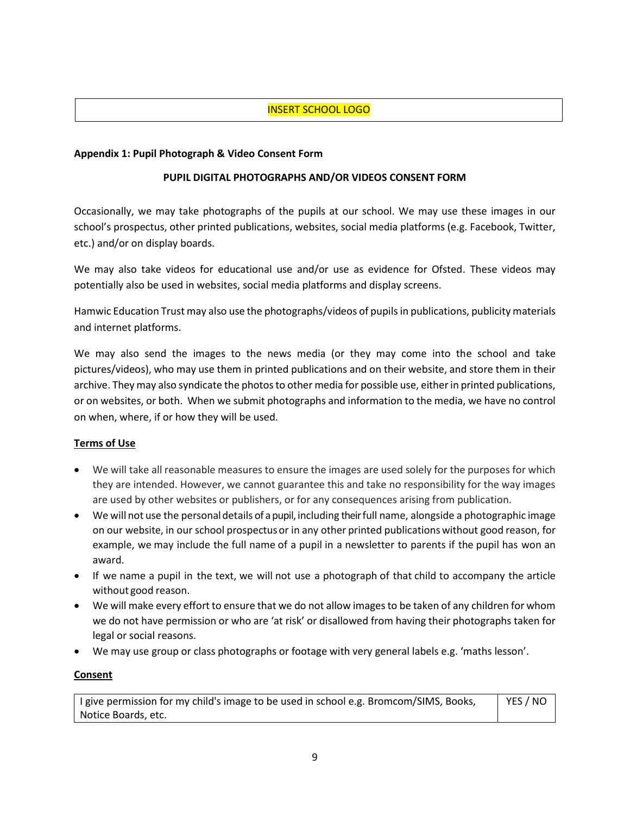## INSERT SCHOOL LOGO

#### **Appendix 1: Pupil Photograph & Video Consent Form**

#### **PUPIL DIGITAL PHOTOGRAPHS AND/OR VIDEOS CONSENT FORM**

<span id="page-8-0"></span>Occasionally, we may take photographs of the pupils at our school. We may use these images in our school's prospectus, other printed publications, websites, social media platforms (e.g. Facebook, Twitter, etc.) and/or on display boards.

We may also take videos for educational use and/or use as evidence for Ofsted. These videos may potentially also be used in websites, social media platforms and display screens.

Hamwic Education Trust may also use the photographs/videos of pupils in publications, publicity materials and internet platforms.

We may also send the images to the news media (or they may come into the school and take pictures/videos), who may use them in printed publications and on their website, and store them in their archive. They may also syndicate the photos to other media for possible use, either in printed publications, or on websites, or both. When we submit photographs and information to the media, we have no control on when, where, if or how they will be used.

#### **Terms of Use**

- We will take all reasonable measures to ensure the images are used solely for the purposes for which they are intended. However, we cannot guarantee this and take no responsibility for the way images are used by other websites or publishers, or for any consequences arising from publication.
- We will not use the personaldetails of a pupil, including their full name, alongside a photographic image on our website, in our school prospectusor in any other printed publicationswithout good reason, for example, we may include the full name of a pupil in a newsletter to parents if the pupil has won an award.
- If we name a pupil in the text, we will not use a photograph of that child to accompany the article without good reason.
- We will make every effort to ensure that we do not allow images to be taken of any children for whom we do not have permission or who are 'at risk' or disallowed from having their photographs taken for legal or social reasons.
- We may use group or class photographs or footage with very general labels e.g. 'maths lesson'.

#### **Consent**

I give permission for my child's image to be used in school e.g. Bromcom/SIMS, Books, Notice Boards, etc. YES / NO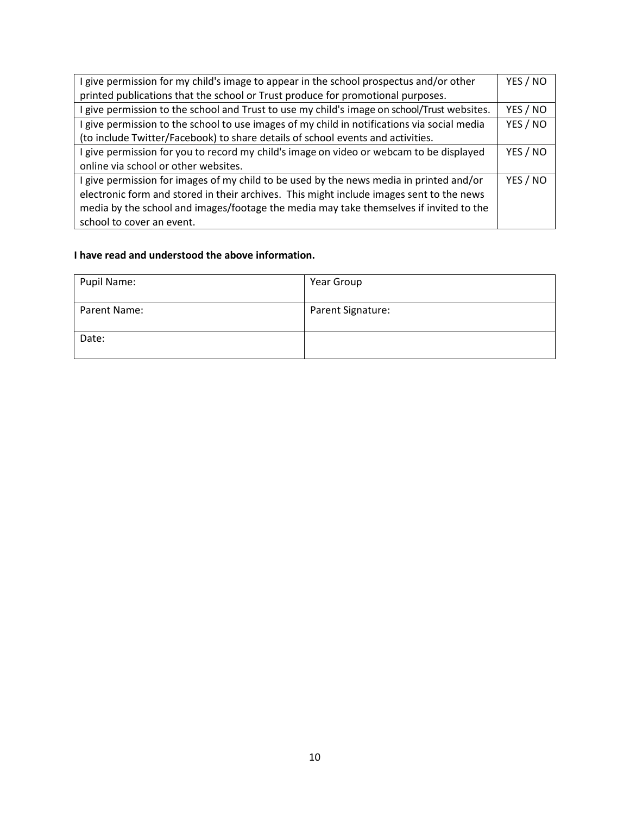| give permission for my child's image to appear in the school prospectus and/or other      | YES / NO |  |
|-------------------------------------------------------------------------------------------|----------|--|
| printed publications that the school or Trust produce for promotional purposes.           |          |  |
| give permission to the school and Trust to use my child's image on school/Trust websites. | YES / NO |  |
| give permission to the school to use images of my child in notifications via social media | YES / NO |  |
| (to include Twitter/Facebook) to share details of school events and activities.           |          |  |
| give permission for you to record my child's image on video or webcam to be displayed     | YES / NO |  |
| online via school or other websites.                                                      |          |  |
| give permission for images of my child to be used by the news media in printed and/or     | YES / NO |  |
| electronic form and stored in their archives. This might include images sent to the news  |          |  |
| media by the school and images/footage the media may take themselves if invited to the    |          |  |
| school to cover an event.                                                                 |          |  |

#### **I have read and understood the above information.**

| Pupil Name:  | Year Group        |
|--------------|-------------------|
| Parent Name: | Parent Signature: |
| Date:        |                   |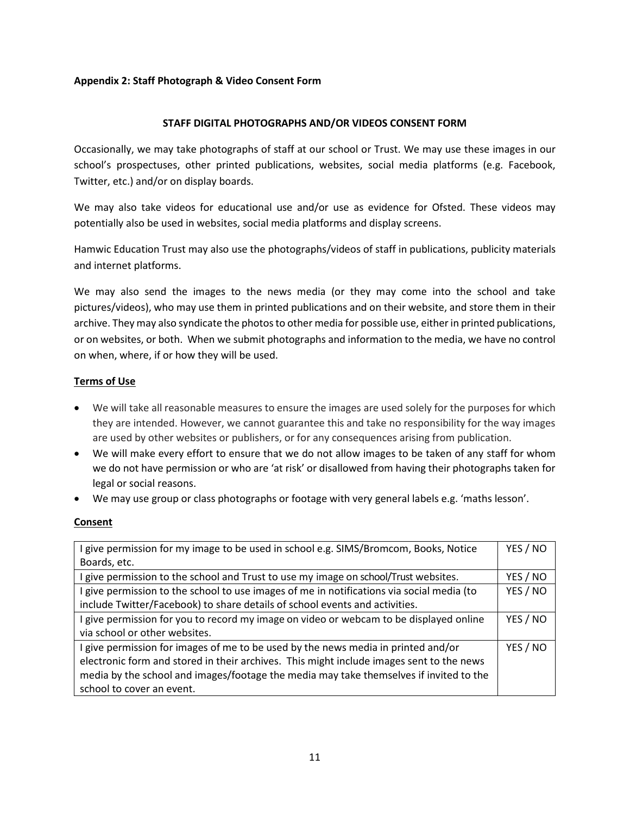#### **Appendix 2: Staff Photograph & Video Consent Form**

#### **STAFF DIGITAL PHOTOGRAPHS AND/OR VIDEOS CONSENT FORM**

<span id="page-10-0"></span>Occasionally, we may take photographs of staff at our school or Trust. We may use these images in our school's prospectuses, other printed publications, websites, social media platforms (e.g. Facebook, Twitter, etc.) and/or on display boards.

We may also take videos for educational use and/or use as evidence for Ofsted. These videos may potentially also be used in websites, social media platforms and display screens.

Hamwic Education Trust may also use the photographs/videos of staff in publications, publicity materials and internet platforms.

We may also send the images to the news media (or they may come into the school and take pictures/videos), who may use them in printed publications and on their website, and store them in their archive. They may also syndicate the photos to other media for possible use, either in printed publications, or on websites, or both. When we submit photographs and information to the media, we have no control on when, where, if or how they will be used.

### **Terms of Use**

- We will take all reasonable measures to ensure the images are used solely for the purposes for which they are intended. However, we cannot guarantee this and take no responsibility for the way images are used by other websites or publishers, or for any consequences arising from publication.
- We will make every effort to ensure that we do not allow images to be taken of any staff for whom we do not have permission or who are 'at risk' or disallowed from having their photographs taken for legal or social reasons.
- We may use group or class photographs or footage with very general labels e.g. 'maths lesson'.

#### **Consent**

| give permission for my image to be used in school e.g. SIMS/Bromcom, Books, Notice       | YES / NO |  |
|------------------------------------------------------------------------------------------|----------|--|
| Boards, etc.                                                                             |          |  |
| give permission to the school and Trust to use my image on school/Trust websites.        | YES / NO |  |
| give permission to the school to use images of me in notifications via social media (to  | YES / NO |  |
| include Twitter/Facebook) to share details of school events and activities.              |          |  |
| give permission for you to record my image on video or webcam to be displayed online     | YES / NO |  |
| via school or other websites.                                                            |          |  |
| give permission for images of me to be used by the news media in printed and/or          | YES / NO |  |
| electronic form and stored in their archives. This might include images sent to the news |          |  |
| media by the school and images/footage the media may take themselves if invited to the   |          |  |
| school to cover an event.                                                                |          |  |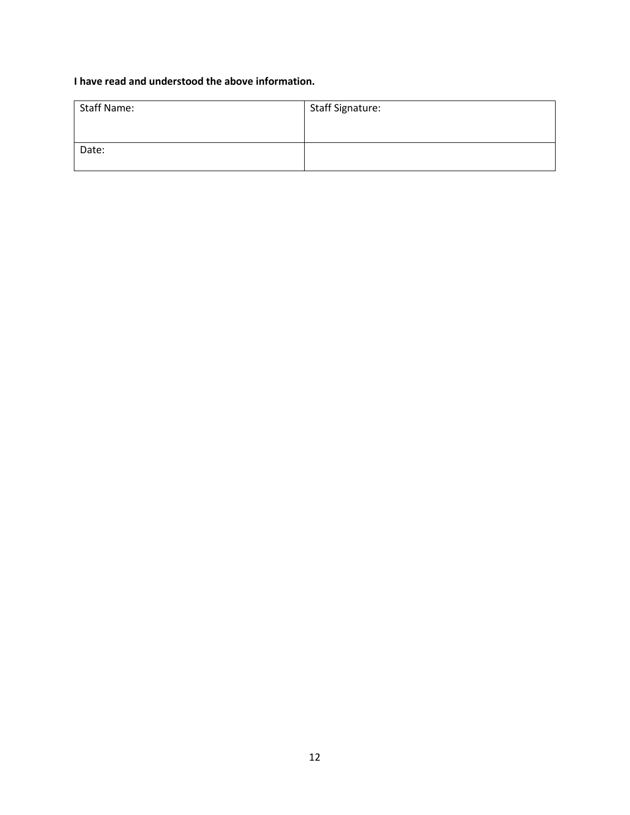# **I have read and understood the above information.**

| <b>Staff Name:</b> | <b>Staff Signature:</b> |
|--------------------|-------------------------|
|                    |                         |
| Date:              |                         |
|                    |                         |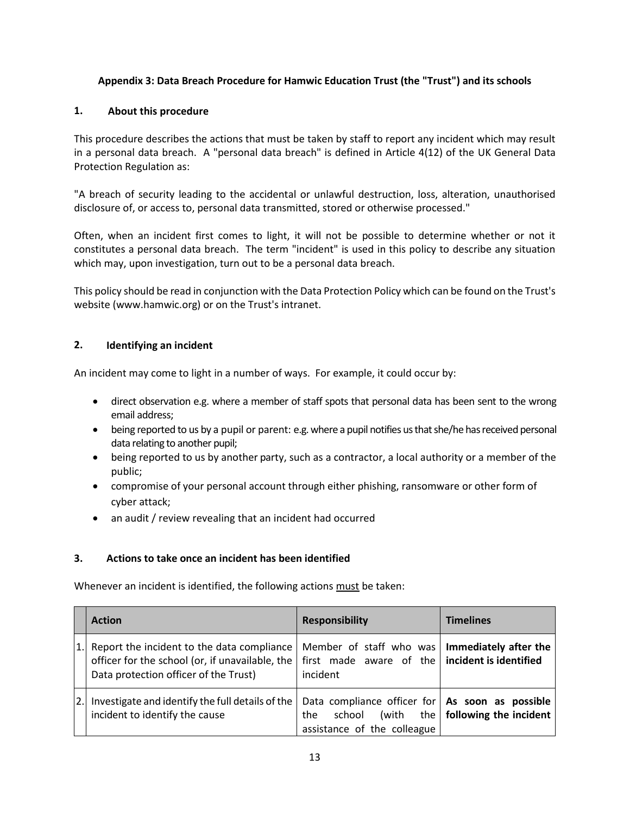### **Appendix 3: Data Breach Procedure for Hamwic Education Trust (the "Trust") and its schools**

#### **1. About this procedure**

<span id="page-12-0"></span>This procedure describes the actions that must be taken by staff to report any incident which may result in a personal data breach. A "personal data breach" is defined in Article 4(12) of the UK General Data Protection Regulation as:

"A breach of security leading to the accidental or unlawful destruction, loss, alteration, unauthorised disclosure of, or access to, personal data transmitted, stored or otherwise processed."

Often, when an incident first comes to light, it will not be possible to determine whether or not it constitutes a personal data breach. The term "incident" is used in this policy to describe any situation which may, upon investigation, turn out to be a personal data breach.

This policy should be read in conjunction with the Data Protection Policy which can be found on the Trust's website [\(www.hamwic.org\)](http://www.hamwic.org/) or on the Trust's intranet.

### **2. Identifying an incident**

An incident may come to light in a number of ways. For example, it could occur by:

- direct observation e.g. where a member of staff spots that personal data has been sent to the wrong email address;
- being reported to us by a pupil or parent: e.g. where a pupil notifies us that she/he has received personal data relating to another pupil;
- being reported to us by another party, such as a contractor, a local authority or a member of the public;
- compromise of your personal account through either phishing, ransomware or other form of cyber attack;
- an audit / review revealing that an incident had occurred

#### **3. Actions to take once an incident has been identified**

Whenever an incident is identified, the following actions must be taken:

|    | <b>Action</b>                                                                                                                          | <b>Responsibility</b>                                                                                        | <b>Timelines</b>                   |
|----|----------------------------------------------------------------------------------------------------------------------------------------|--------------------------------------------------------------------------------------------------------------|------------------------------------|
| 1. | Report the incident to the data compliance<br>officer for the school (or, if unavailable, the<br>Data protection officer of the Trust) | Member of staff who was<br>first made aware of the incident is identified<br>incident                        | Immediately after the              |
| 2. | Investigate and identify the full details of the<br>incident to identify the cause                                                     | Data compliance officer for $ $ As soon as possible<br>(with<br>school<br>the<br>assistance of the colleague | the $\vert$ following the incident |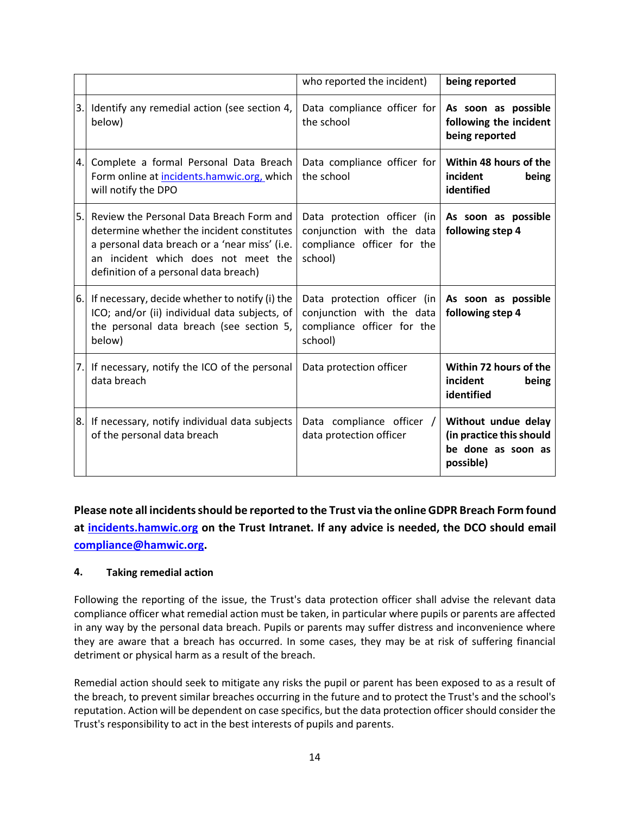|    |                                                                                                                                                                                                                         | who reported the incident)                                                                        | being reported                                                                     |
|----|-------------------------------------------------------------------------------------------------------------------------------------------------------------------------------------------------------------------------|---------------------------------------------------------------------------------------------------|------------------------------------------------------------------------------------|
| 3. | Identify any remedial action (see section 4,<br>below)                                                                                                                                                                  | Data compliance officer for<br>the school                                                         | As soon as possible<br>following the incident<br>being reported                    |
| 4. | Complete a formal Personal Data Breach<br>Form online at incidents.hamwic.org, which<br>will notify the DPO                                                                                                             | Data compliance officer for<br>the school                                                         | Within 48 hours of the<br>incident<br>being<br>identified                          |
| 5. | Review the Personal Data Breach Form and<br>determine whether the incident constitutes<br>a personal data breach or a 'near miss' (i.e.<br>an incident which does not meet the<br>definition of a personal data breach) | Data protection officer (in<br>conjunction with the data<br>compliance officer for the<br>school) | As soon as possible<br>following step 4                                            |
| 6. | If necessary, decide whether to notify (i) the<br>ICO; and/or (ii) individual data subjects, of<br>the personal data breach (see section 5,<br>below)                                                                   | Data protection officer (in<br>conjunction with the data<br>compliance officer for the<br>school) | As soon as possible<br>following step 4                                            |
| 7. | If necessary, notify the ICO of the personal<br>data breach                                                                                                                                                             | Data protection officer                                                                           | Within 72 hours of the<br>incident<br>being<br>identified                          |
| 8. | If necessary, notify individual data subjects<br>of the personal data breach                                                                                                                                            | Data compliance officer /<br>data protection officer                                              | Without undue delay<br>(in practice this should<br>be done as soon as<br>possible) |

**Please note all incidents should be reported to the Trust via the online GDPR Breach Form found at incidents.hamwic.org on the Trust Intranet. If any advice is needed, the DCO should email [compliance@hamwic.org.](mailto:compliance@hamwic.org)** 

## **4. Taking remedial action**

Following the reporting of the issue, the Trust's data protection officer shall advise the relevant data compliance officer what remedial action must be taken, in particular where pupils or parents are affected in any way by the personal data breach. Pupils or parents may suffer distress and inconvenience where they are aware that a breach has occurred. In some cases, they may be at risk of suffering financial detriment or physical harm as a result of the breach.

Remedial action should seek to mitigate any risks the pupil or parent has been exposed to as a result of the breach, to prevent similar breaches occurring in the future and to protect the Trust's and the school's reputation. Action will be dependent on case specifics, but the data protection officer should consider the Trust's responsibility to act in the best interests of pupils and parents.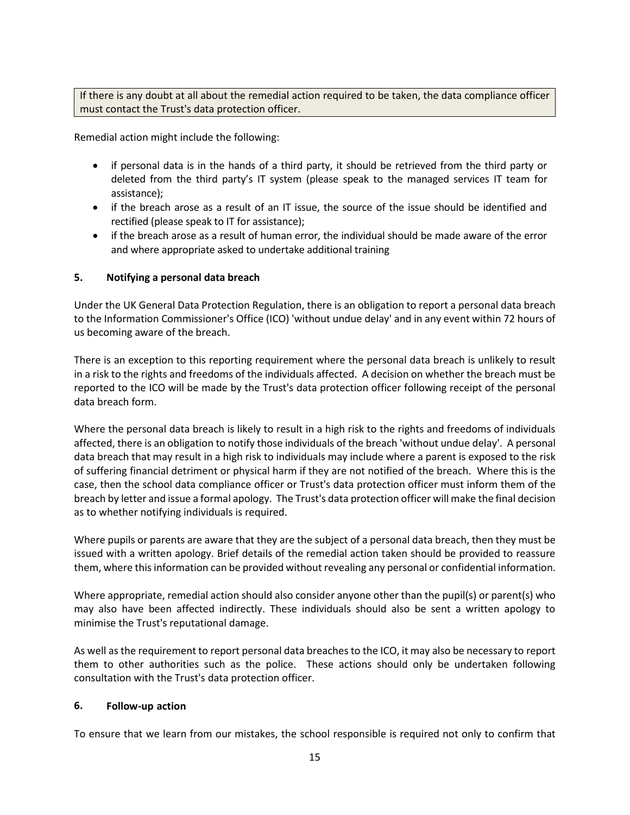If there is any doubt at all about the remedial action required to be taken, the data compliance officer must contact the Trust's data protection officer.

Remedial action might include the following:

- if personal data is in the hands of a third party, it should be retrieved from the third party or deleted from the third party's IT system (please speak to the managed services IT team for assistance);
- if the breach arose as a result of an IT issue, the source of the issue should be identified and rectified (please speak to IT for assistance);
- if the breach arose as a result of human error, the individual should be made aware of the error and where appropriate asked to undertake additional training

### **5. Notifying a personal data breach**

Under the UK General Data Protection Regulation, there is an obligation to report a personal data breach to the Information Commissioner's Office (ICO) 'without undue delay' and in any event within 72 hours of us becoming aware of the breach.

There is an exception to this reporting requirement where the personal data breach is unlikely to result in a risk to the rights and freedoms of the individuals affected. A decision on whether the breach must be reported to the ICO will be made by the Trust's data protection officer following receipt of the personal data breach form.

Where the personal data breach is likely to result in a high risk to the rights and freedoms of individuals affected, there is an obligation to notify those individuals of the breach 'without undue delay'. A personal data breach that may result in a high risk to individuals may include where a parent is exposed to the risk of suffering financial detriment or physical harm if they are not notified of the breach. Where this is the case, then the school data compliance officer or Trust's data protection officer must inform them of the breach by letter and issue a formal apology. The Trust's data protection officer will make the final decision as to whether notifying individuals is required.

Where pupils or parents are aware that they are the subject of a personal data breach, then they must be issued with a written apology. Brief details of the remedial action taken should be provided to reassure them, where this information can be provided without revealing any personal or confidential information.

Where appropriate, remedial action should also consider anyone other than the pupil(s) or parent(s) who may also have been affected indirectly. These individuals should also be sent a written apology to minimise the Trust's reputational damage.

As well as the requirement to report personal data breaches to the ICO, it may also be necessary to report them to other authorities such as the police. These actions should only be undertaken following consultation with the Trust's data protection officer.

#### **6. Follow-up action**

To ensure that we learn from our mistakes, the school responsible is required not only to confirm that